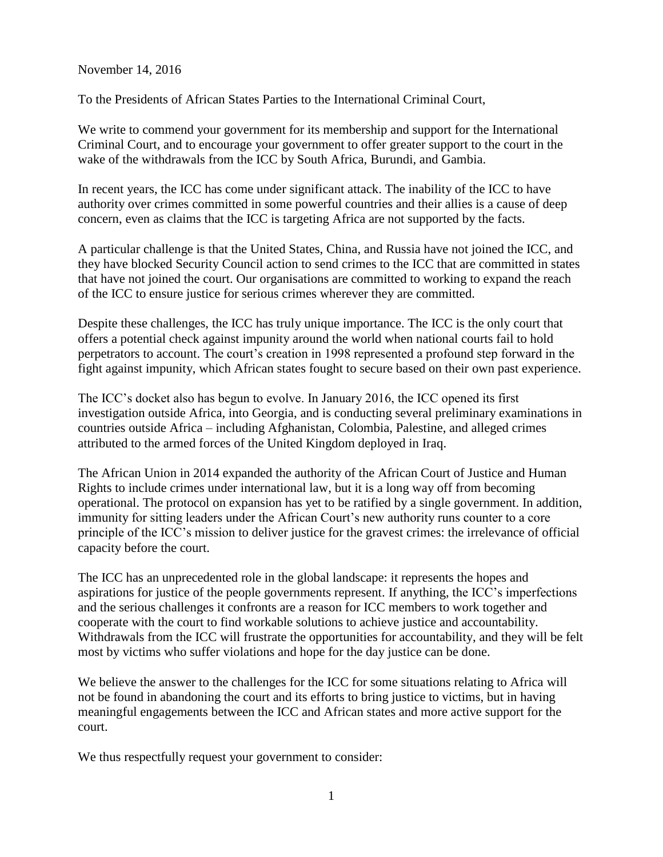November 14, 2016

To the Presidents of African States Parties to the International Criminal Court,

We write to commend your government for its membership and support for the International Criminal Court, and to encourage your government to offer greater support to the court in the wake of the withdrawals from the ICC by South Africa, Burundi, and Gambia.

In recent years, the ICC has come under significant attack. The inability of the ICC to have authority over crimes committed in some powerful countries and their allies is a cause of deep concern, even as claims that the ICC is targeting Africa are not supported by the facts.

A particular challenge is that the United States, China, and Russia have not joined the ICC, and they have blocked Security Council action to send crimes to the ICC that are committed in states that have not joined the court. Our organisations are committed to working to expand the reach of the ICC to ensure justice for serious crimes wherever they are committed.

Despite these challenges, the ICC has truly unique importance. The ICC is the only court that offers a potential check against impunity around the world when national courts fail to hold perpetrators to account. The court's creation in 1998 represented a profound step forward in the fight against impunity, which African states fought to secure based on their own past experience.

The ICC's docket also has begun to evolve. In January 2016, the ICC opened its first investigation outside Africa, into Georgia, and is conducting several preliminary examinations in countries outside Africa – including Afghanistan, Colombia, Palestine, and alleged crimes attributed to the armed forces of the United Kingdom deployed in Iraq.

The African Union in 2014 expanded the authority of the African Court of Justice and Human Rights to include crimes under international law, but it is a long way off from becoming operational. The protocol on expansion has yet to be ratified by a single government. In addition, immunity for sitting leaders under the African Court's new authority runs counter to a core principle of the ICC's mission to deliver justice for the gravest crimes: the irrelevance of official capacity before the court.

The ICC has an unprecedented role in the global landscape: it represents the hopes and aspirations for justice of the people governments represent. If anything, the ICC's imperfections and the serious challenges it confronts are a reason for ICC members to work together and cooperate with the court to find workable solutions to achieve justice and accountability. Withdrawals from the ICC will frustrate the opportunities for accountability, and they will be felt most by victims who suffer violations and hope for the day justice can be done.

We believe the answer to the challenges for the ICC for some situations relating to Africa will not be found in abandoning the court and its efforts to bring justice to victims, but in having meaningful engagements between the ICC and African states and more active support for the court.

We thus respectfully request your government to consider: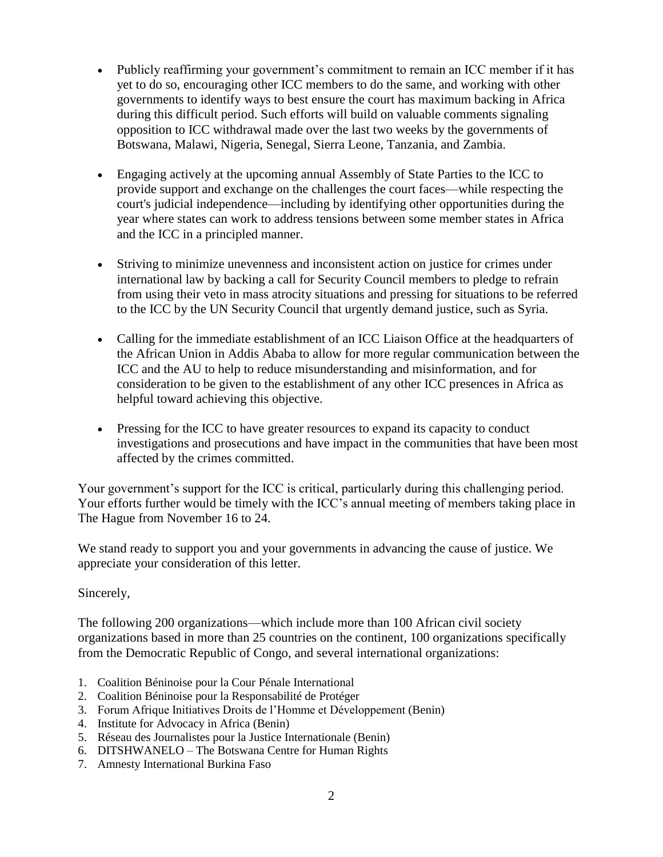- Publicly reaffirming your government's commitment to remain an ICC member if it has yet to do so, encouraging other ICC members to do the same, and working with other governments to identify ways to best ensure the court has maximum backing in Africa during this difficult period. Such efforts will build on valuable comments signaling opposition to ICC withdrawal made over the last two weeks by the governments of Botswana, Malawi, Nigeria, Senegal, Sierra Leone, Tanzania, and Zambia.
- Engaging actively at the upcoming annual Assembly of State Parties to the ICC to provide support and exchange on the challenges the court faces—while respecting the court's judicial independence—including by identifying other opportunities during the year where states can work to address tensions between some member states in Africa and the ICC in a principled manner.
- Striving to minimize unevenness and inconsistent action on justice for crimes under international law by backing a call for Security Council members to pledge to refrain from using their veto in mass atrocity situations and pressing for situations to be referred to the ICC by the UN Security Council that urgently demand justice, such as Syria.
- Calling for the immediate establishment of an ICC Liaison Office at the headquarters of the African Union in Addis Ababa to allow for more regular communication between the ICC and the AU to help to reduce misunderstanding and misinformation, and for consideration to be given to the establishment of any other ICC presences in Africa as helpful toward achieving this objective.
- Pressing for the ICC to have greater resources to expand its capacity to conduct investigations and prosecutions and have impact in the communities that have been most affected by the crimes committed.

Your government's support for the ICC is critical, particularly during this challenging period. Your efforts further would be timely with the ICC's annual meeting of members taking place in The Hague from November 16 to 24.

We stand ready to support you and your governments in advancing the cause of justice. We appreciate your consideration of this letter.

## Sincerely,

The following 200 organizations—which include more than 100 African civil society organizations based in more than 25 countries on the continent, 100 organizations specifically from the Democratic Republic of Congo, and several international organizations:

- 1. Coalition Béninoise pour la Cour Pénale International
- 2. Coalition Béninoise pour la Responsabilité de Protéger
- 3. Forum Afrique Initiatives Droits de l'Homme et Développement (Benin)
- 4. Institute for Advocacy in Africa (Benin)
- 5. Réseau des Journalistes pour la Justice Internationale (Benin)
- 6. DITSHWANELO The Botswana Centre for Human Rights
- 7. Amnesty International Burkina Faso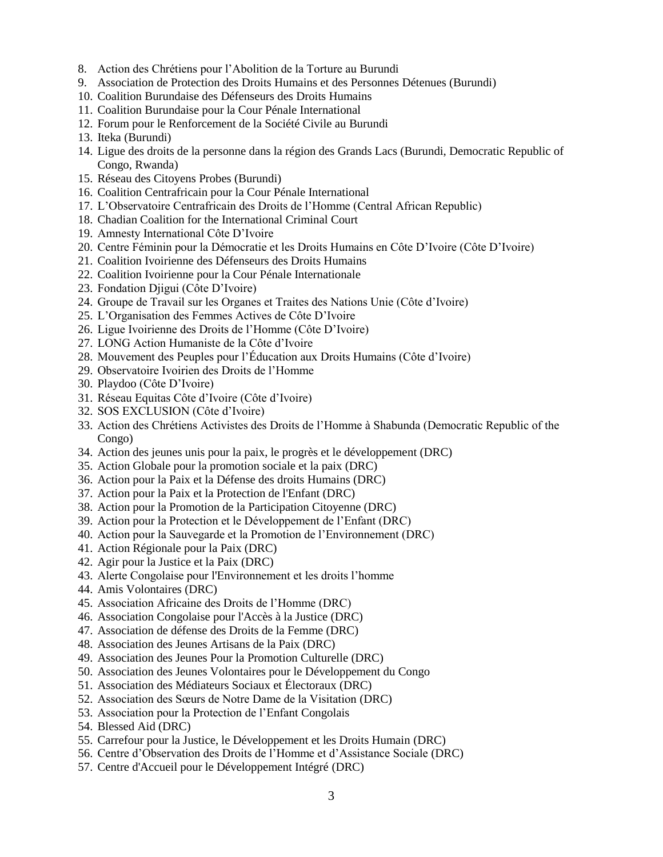- 8. Action des Chrétiens pour l'Abolition de la Torture au Burundi
- 9. Association de Protection des Droits Humains et des Personnes Détenues (Burundi)
- 10. Coalition Burundaise des Défenseurs des Droits Humains
- 11. Coalition Burundaise pour la Cour Pénale International
- 12. Forum pour le Renforcement de la Société Civile au Burundi
- 13. Iteka (Burundi)
- 14. Ligue des droits de la personne dans la région des Grands Lacs (Burundi, Democratic Republic of Congo, Rwanda)
- 15. Réseau des Citoyens Probes (Burundi)
- 16. Coalition Centrafricain pour la Cour Pénale International
- 17. L'Observatoire Centrafricain des Droits de l'Homme (Central African Republic)
- 18. Chadian Coalition for the International Criminal Court
- 19. Amnesty International Côte D'Ivoire
- 20. Centre Féminin pour la Démocratie et les Droits Humains en Côte D'Ivoire (Côte D'Ivoire)
- 21. Coalition Ivoirienne des Défenseurs des Droits Humains
- 22. Coalition Ivoirienne pour la Cour Pénale Internationale
- 23. Fondation Djigui (Côte D'Ivoire)
- 24. Groupe de Travail sur les Organes et Traites des Nations Unie (Côte d'Ivoire)
- 25. L'Organisation des Femmes Actives de Côte D'Ivoire
- 26. Ligue Ivoirienne des Droits de l'Homme (Côte D'Ivoire)
- 27. LONG Action Humaniste de la Côte d'Ivoire
- 28. Mouvement des Peuples pour l'Éducation aux Droits Humains (Côte d'Ivoire)
- 29. Observatoire Ivoirien des Droits de l'Homme
- 30. Playdoo (Côte D'Ivoire)
- 31. Réseau Equitas Côte d'Ivoire (Côte d'Ivoire)
- 32. SOS EXCLUSION (Côte d'Ivoire)
- 33. Action des Chrétiens Activistes des Droits de l'Homme à Shabunda (Democratic Republic of the Congo)
- 34. Action des jeunes unis pour la paix, le progrès et le développement (DRC)
- 35. Action Globale pour la promotion sociale et la paix (DRC)
- 36. Action pour la Paix et la Défense des droits Humains (DRC)
- 37. Action pour la Paix et la Protection de l'Enfant (DRC)
- 38. Action pour la Promotion de la Participation Citoyenne (DRC)
- 39. Action pour la Protection et le Développement de l'Enfant (DRC)
- 40. Action pour la Sauvegarde et la Promotion de l'Environnement (DRC)
- 41. Action Régionale pour la Paix (DRC)
- 42. Agir pour la Justice et la Paix (DRC)
- 43. Alerte Congolaise pour l'Environnement et les droits l'homme
- 44. Amis Volontaires (DRC)
- 45. Association Africaine des Droits de l'Homme (DRC)
- 46. Association Congolaise pour l'Accès à la Justice (DRC)
- 47. Association de défense des Droits de la Femme (DRC)
- 48. Association des Jeunes Artisans de la Paix (DRC)
- 49. Association des Jeunes Pour la Promotion Culturelle (DRC)
- 50. Association des Jeunes Volontaires pour le Développement du Congo
- 51. Association des Médiateurs Sociaux et Électoraux (DRC)
- 52. Association des Sœurs de Notre Dame de la Visitation (DRC)
- 53. Association pour la Protection de l'Enfant Congolais
- 54. Blessed Aid (DRC)
- 55. Carrefour pour la Justice, le Développement et les Droits Humain (DRC)
- 56. Centre d'Observation des Droits de l'Homme et d'Assistance Sociale (DRC)
- 57. Centre d'Accueil pour le Développement Intégré (DRC)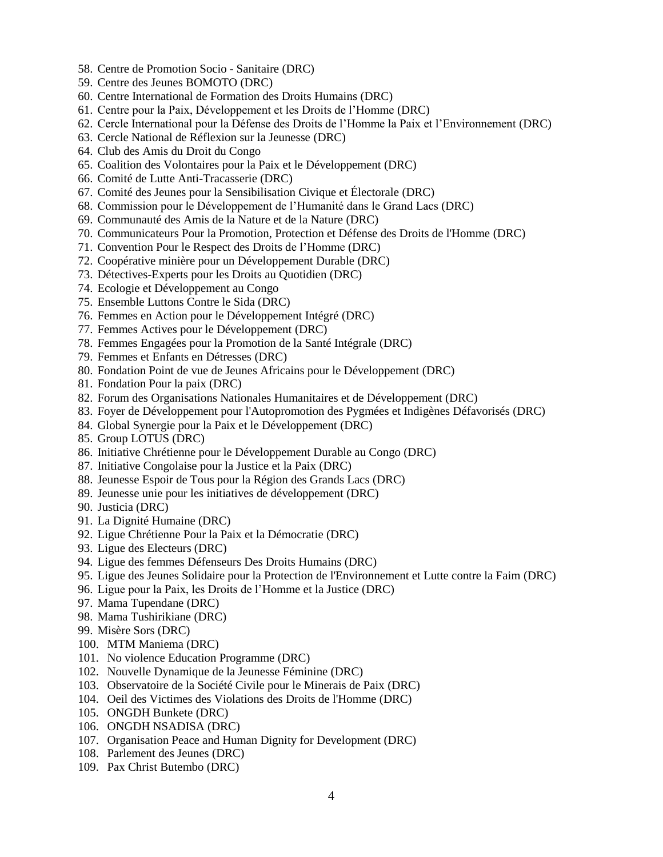- 58. Centre de Promotion Socio Sanitaire (DRC)
- 59. Centre des Jeunes BOMOTO (DRC)
- 60. Centre International de Formation des Droits Humains (DRC)
- 61. Centre pour la Paix, Développement et les Droits de l'Homme (DRC)
- 62. Cercle International pour la Défense des Droits de l'Homme la Paix et l'Environnement (DRC)
- 63. Cercle National de Réflexion sur la Jeunesse (DRC)
- 64. Club des Amis du Droit du Congo
- 65. Coalition des Volontaires pour la Paix et le Développement (DRC)
- 66. Comité de Lutte Anti-Tracasserie (DRC)
- 67. Comité des Jeunes pour la Sensibilisation Civique et Électorale (DRC)
- 68. Commission pour le Développement de l'Humanité dans le Grand Lacs (DRC)
- 69. Communauté des Amis de la Nature et de la Nature (DRC)
- 70. Communicateurs Pour la Promotion, Protection et Défense des Droits de l'Homme (DRC)
- 71. Convention Pour le Respect des Droits de l'Homme (DRC)
- 72. Coopérative minière pour un Développement Durable (DRC)
- 73. Détectives-Experts pour les Droits au Quotidien (DRC)
- 74. Ecologie et Développement au Congo
- 75. Ensemble Luttons Contre le Sida (DRC)
- 76. Femmes en Action pour le Développement Intégré (DRC)
- 77. Femmes Actives pour le Développement (DRC)
- 78. Femmes Engagées pour la Promotion de la Santé Intégrale (DRC)
- 79. Femmes et Enfants en Détresses (DRC)
- 80. Fondation Point de vue de Jeunes Africains pour le Développement (DRC)
- 81. Fondation Pour la paix (DRC)
- 82. Forum des Organisations Nationales Humanitaires et de Développement (DRC)
- 83. Foyer de Développement pour l'Autopromotion des Pygmées et Indigènes Défavorisés (DRC)
- 84. Global Synergie pour la Paix et le Développement (DRC)
- 85. Group LOTUS (DRC)
- 86. Initiative Chrétienne pour le Développement Durable au Congo (DRC)
- 87. Initiative Congolaise pour la Justice et la Paix (DRC)
- 88. Jeunesse Espoir de Tous pour la Région des Grands Lacs (DRC)
- 89. Jeunesse unie pour les initiatives de développement (DRC)
- 90. Justicia (DRC)
- 91. La Dignité Humaine (DRC)
- 92. Ligue Chrétienne Pour la Paix et la Démocratie (DRC)
- 93. Ligue des Electeurs (DRC)
- 94. Ligue des femmes Défenseurs Des Droits Humains (DRC)
- 95. Ligue des Jeunes Solidaire pour la Protection de l'Environnement et Lutte contre la Faim (DRC)
- 96. Ligue pour la Paix, les Droits de l'Homme et la Justice (DRC)
- 97. Mama Tupendane (DRC)
- 98. Mama Tushirikiane (DRC)
- 99. Misère Sors (DRC)
- 100. MTM Maniema (DRC)
- 101. No violence Education Programme (DRC)
- 102. Nouvelle Dynamique de la Jeunesse Féminine (DRC)
- 103. Observatoire de la Société Civile pour le Minerais de Paix (DRC)
- 104. Oeil des Victimes des Violations des Droits de l'Homme (DRC)
- 105. ONGDH Bunkete (DRC)
- 106. ONGDH NSADISA (DRC)
- 107. Organisation Peace and Human Dignity for Development (DRC)
- 108. Parlement des Jeunes (DRC)
- 109. Pax Christ Butembo (DRC)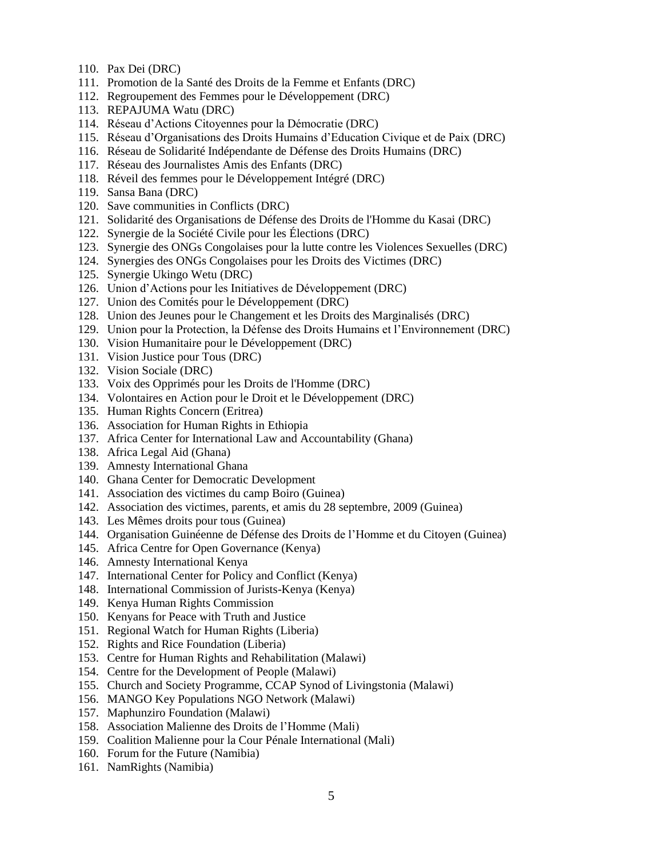- 110. Pax Dei (DRC)
- 111. Promotion de la Santé des Droits de la Femme et Enfants (DRC)
- 112. Regroupement des Femmes pour le Développement (DRC)
- 113. REPAJUMA Watu (DRC)
- 114. Réseau d'Actions Citoyennes pour la Démocratie (DRC)
- 115. Réseau d'Organisations des Droits Humains d'Education Civique et de Paix (DRC)
- 116. Réseau de Solidarité Indépendante de Défense des Droits Humains (DRC)
- 117. Réseau des Journalistes Amis des Enfants (DRC)
- 118. Réveil des femmes pour le Développement Intégré (DRC)
- 119. Sansa Bana (DRC)
- 120. Save communities in Conflicts (DRC)
- 121. Solidarité des Organisations de Défense des Droits de l'Homme du Kasai (DRC)
- 122. Synergie de la Société Civile pour les Élections (DRC)
- 123. Synergie des ONGs Congolaises pour la lutte contre les Violences Sexuelles (DRC)
- 124. Synergies des ONGs Congolaises pour les Droits des Victimes (DRC)
- 125. Synergie Ukingo Wetu (DRC)
- 126. Union d'Actions pour les Initiatives de Développement (DRC)
- 127. Union des Comités pour le Développement (DRC)
- 128. Union des Jeunes pour le Changement et les Droits des Marginalisés (DRC)
- 129. Union pour la Protection, la Défense des Droits Humains et l'Environnement (DRC)
- 130. Vision Humanitaire pour le Développement (DRC)
- 131. Vision Justice pour Tous (DRC)
- 132. Vision Sociale (DRC)
- 133. Voix des Opprimés pour les Droits de l'Homme (DRC)
- 134. Volontaires en Action pour le Droit et le Développement (DRC)
- 135. Human Rights Concern (Eritrea)
- 136. Association for Human Rights in Ethiopia
- 137. Africa Center for International Law and Accountability (Ghana)
- 138. Africa Legal Aid (Ghana)
- 139. Amnesty International Ghana
- 140. Ghana Center for Democratic Development
- 141. Association des victimes du camp Boiro (Guinea)
- 142. Association des victimes, parents, et amis du 28 septembre, 2009 (Guinea)
- 143. Les Mêmes droits pour tous (Guinea)
- 144. Organisation Guinéenne de Défense des Droits de l'Homme et du Citoyen (Guinea)
- 145. Africa Centre for Open Governance (Kenya)
- 146. Amnesty International Kenya
- 147. International Center for Policy and Conflict (Kenya)
- 148. International Commission of Jurists-Kenya (Kenya)
- 149. Kenya Human Rights Commission
- 150. Kenyans for Peace with Truth and Justice
- 151. Regional Watch for Human Rights (Liberia)
- 152. Rights and Rice Foundation (Liberia)
- 153. Centre for Human Rights and Rehabilitation (Malawi)
- 154. Centre for the Development of People (Malawi)
- 155. Church and Society Programme, CCAP Synod of Livingstonia (Malawi)
- 156. MANGO Key Populations NGO Network (Malawi)
- 157. Maphunziro Foundation (Malawi)
- 158. Association Malienne des Droits de l'Homme (Mali)
- 159. Coalition Malienne pour la Cour Pénale International (Mali)
- 160. Forum for the Future (Namibia)
- 161. NamRights (Namibia)